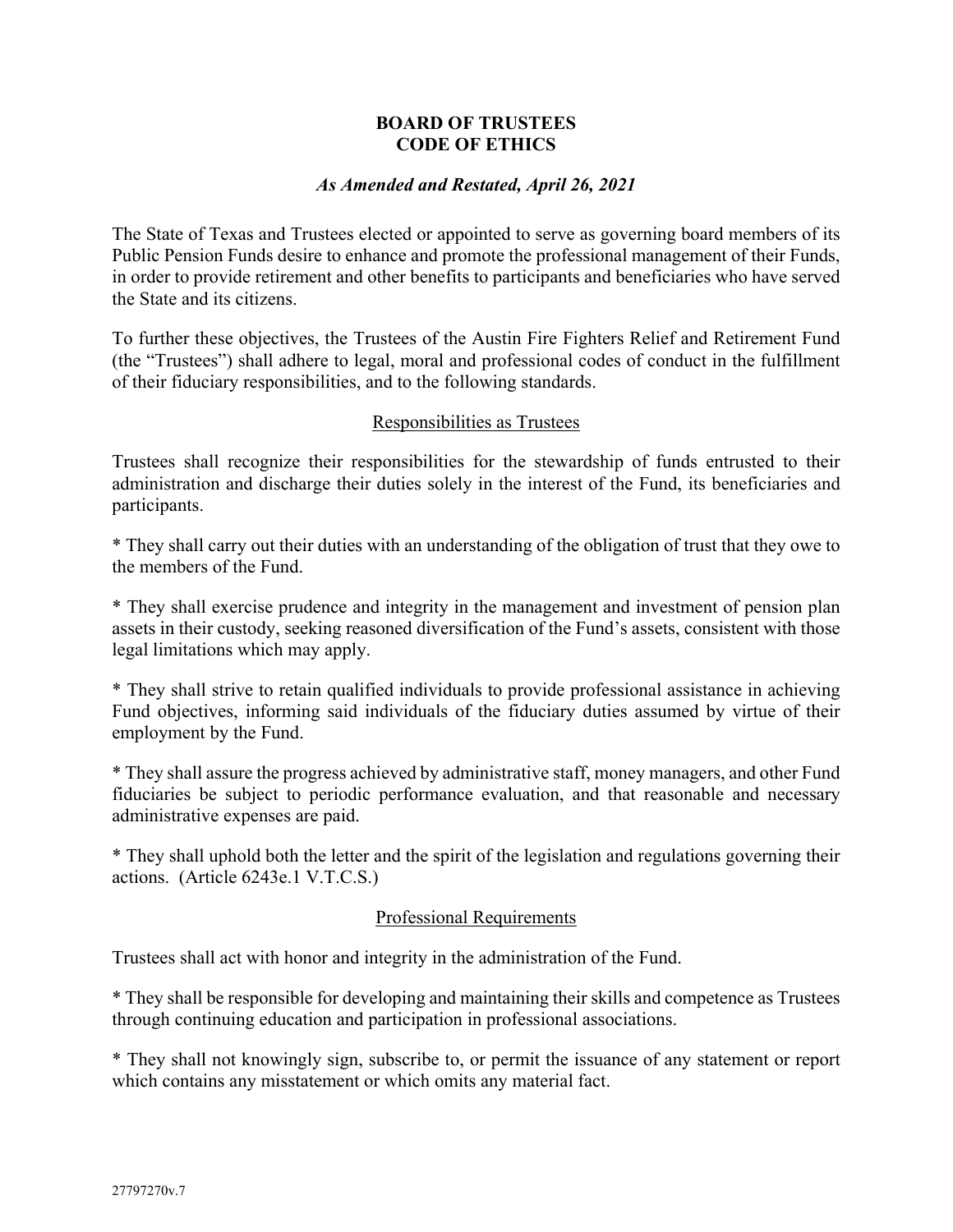### **BOARD OF TRUSTEES CODE OF ETHICS**

#### *As Amended and Restated, April 26, 2021*

The State of Texas and Trustees elected or appointed to serve as governing board members of its Public Pension Funds desire to enhance and promote the professional management of their Funds, in order to provide retirement and other benefits to participants and beneficiaries who have served the State and its citizens.

To further these objectives, the Trustees of the Austin Fire Fighters Relief and Retirement Fund (the "Trustees") shall adhere to legal, moral and professional codes of conduct in the fulfillment of their fiduciary responsibilities, and to the following standards.

#### Responsibilities as Trustees

Trustees shall recognize their responsibilities for the stewardship of funds entrusted to their administration and discharge their duties solely in the interest of the Fund, its beneficiaries and participants.

\* They shall carry out their duties with an understanding of the obligation of trust that they owe to the members of the Fund.

\* They shall exercise prudence and integrity in the management and investment of pension plan assets in their custody, seeking reasoned diversification of the Fund's assets, consistent with those legal limitations which may apply.

\* They shall strive to retain qualified individuals to provide professional assistance in achieving Fund objectives, informing said individuals of the fiduciary duties assumed by virtue of their employment by the Fund.

\* They shall assure the progress achieved by administrative staff, money managers, and other Fund fiduciaries be subject to periodic performance evaluation, and that reasonable and necessary administrative expenses are paid.

\* They shall uphold both the letter and the spirit of the legislation and regulations governing their actions. (Article 6243e.1 V.T.C.S.)

### Professional Requirements

Trustees shall act with honor and integrity in the administration of the Fund.

\* They shall be responsible for developing and maintaining their skills and competence as Trustees through continuing education and participation in professional associations.

\* They shall not knowingly sign, subscribe to, or permit the issuance of any statement or report which contains any misstatement or which omits any material fact.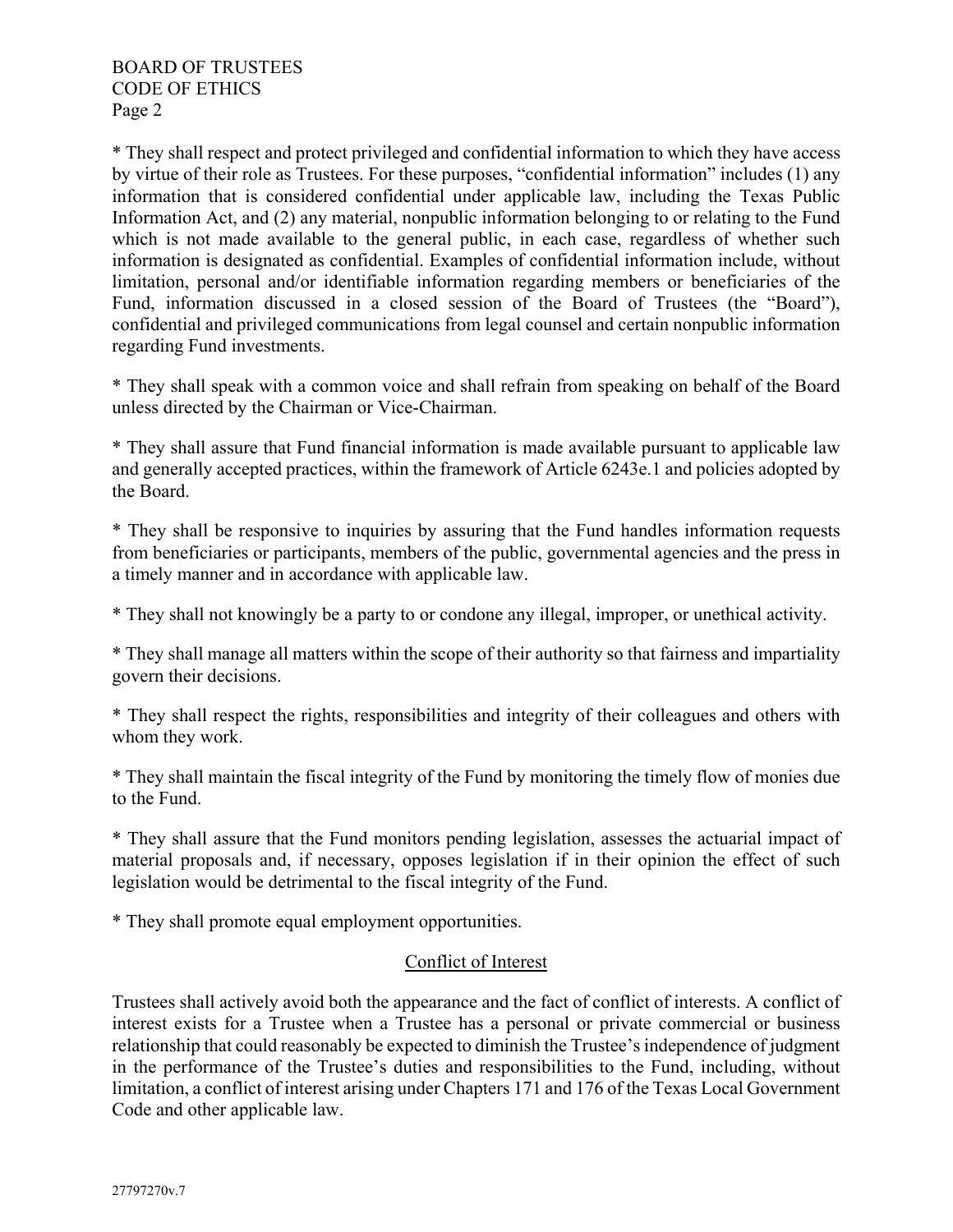\* They shall respect and protect privileged and confidential information to which they have access by virtue of their role as Trustees. For these purposes, "confidential information" includes (1) any information that is considered confidential under applicable law, including the Texas Public Information Act, and (2) any material, nonpublic information belonging to or relating to the Fund which is not made available to the general public, in each case, regardless of whether such information is designated as confidential. Examples of confidential information include, without limitation, personal and/or identifiable information regarding members or beneficiaries of the Fund, information discussed in a closed session of the Board of Trustees (the "Board"), confidential and privileged communications from legal counsel and certain nonpublic information regarding Fund investments.

\* They shall speak with a common voice and shall refrain from speaking on behalf of the Board unless directed by the Chairman or Vice-Chairman.

\* They shall assure that Fund financial information is made available pursuant to applicable law and generally accepted practices, within the framework of Article 6243e.1 and policies adopted by the Board.

\* They shall be responsive to inquiries by assuring that the Fund handles information requests from beneficiaries or participants, members of the public, governmental agencies and the press in a timely manner and in accordance with applicable law.

\* They shall not knowingly be a party to or condone any illegal, improper, or unethical activity.

\* They shall manage all matters within the scope of their authority so that fairness and impartiality govern their decisions.

\* They shall respect the rights, responsibilities and integrity of their colleagues and others with whom they work.

\* They shall maintain the fiscal integrity of the Fund by monitoring the timely flow of monies due to the Fund.

\* They shall assure that the Fund monitors pending legislation, assesses the actuarial impact of material proposals and, if necessary, opposes legislation if in their opinion the effect of such legislation would be detrimental to the fiscal integrity of the Fund.

\* They shall promote equal employment opportunities.

### Conflict of Interest

Trustees shall actively avoid both the appearance and the fact of conflict of interests. A conflict of interest exists for a Trustee when a Trustee has a personal or private commercial or business relationship that could reasonably be expected to diminish the Trustee's independence of judgment in the performance of the Trustee's duties and responsibilities to the Fund, including, without limitation, a conflict of interest arising under Chapters 171 and 176 of the Texas Local Government Code and other applicable law.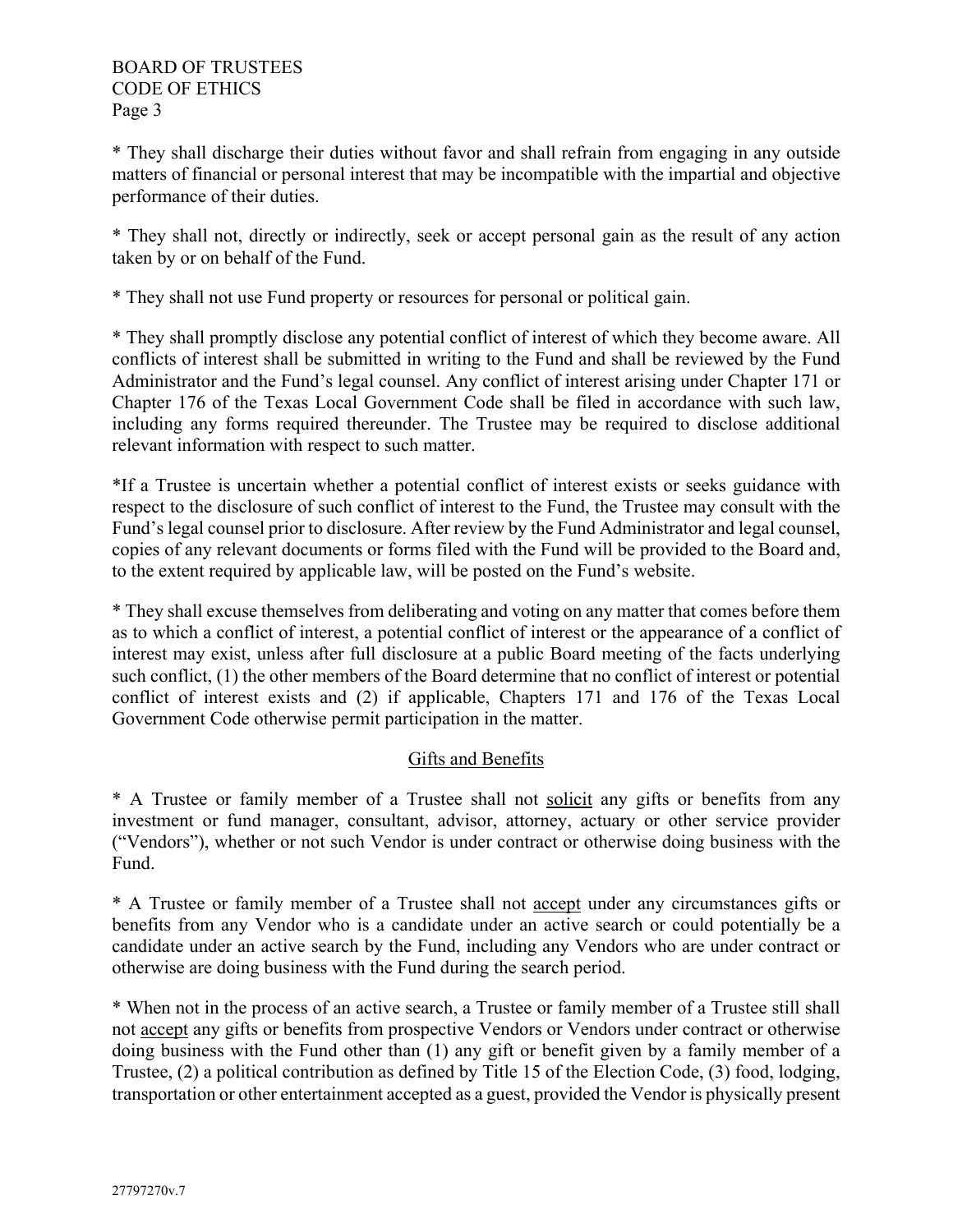\* They shall discharge their duties without favor and shall refrain from engaging in any outside matters of financial or personal interest that may be incompatible with the impartial and objective performance of their duties.

\* They shall not, directly or indirectly, seek or accept personal gain as the result of any action taken by or on behalf of the Fund.

\* They shall not use Fund property or resources for personal or political gain.

\* They shall promptly disclose any potential conflict of interest of which they become aware. All conflicts of interest shall be submitted in writing to the Fund and shall be reviewed by the Fund Administrator and the Fund's legal counsel. Any conflict of interest arising under Chapter 171 or Chapter 176 of the Texas Local Government Code shall be filed in accordance with such law, including any forms required thereunder. The Trustee may be required to disclose additional relevant information with respect to such matter.

\*If a Trustee is uncertain whether a potential conflict of interest exists or seeks guidance with respect to the disclosure of such conflict of interest to the Fund, the Trustee may consult with the Fund's legal counsel prior to disclosure. After review by the Fund Administrator and legal counsel, copies of any relevant documents or forms filed with the Fund will be provided to the Board and, to the extent required by applicable law, will be posted on the Fund's website.

\* They shall excuse themselves from deliberating and voting on any matter that comes before them as to which a conflict of interest, a potential conflict of interest or the appearance of a conflict of interest may exist, unless after full disclosure at a public Board meeting of the facts underlying such conflict, (1) the other members of the Board determine that no conflict of interest or potential conflict of interest exists and (2) if applicable, Chapters 171 and 176 of the Texas Local Government Code otherwise permit participation in the matter.

# Gifts and Benefits

\* A Trustee or family member of a Trustee shall not solicit any gifts or benefits from any investment or fund manager, consultant, advisor, attorney, actuary or other service provider ("Vendors"), whether or not such Vendor is under contract or otherwise doing business with the Fund.

\* A Trustee or family member of a Trustee shall not accept under any circumstances gifts or benefits from any Vendor who is a candidate under an active search or could potentially be a candidate under an active search by the Fund, including any Vendors who are under contract or otherwise are doing business with the Fund during the search period.

\* When not in the process of an active search, a Trustee or family member of a Trustee still shall not accept any gifts or benefits from prospective Vendors or Vendors under contract or otherwise doing business with the Fund other than (1) any gift or benefit given by a family member of a Trustee, (2) a political contribution as defined by Title 15 of the Election Code, (3) food, lodging, transportation or other entertainment accepted as a guest, provided the Vendor is physically present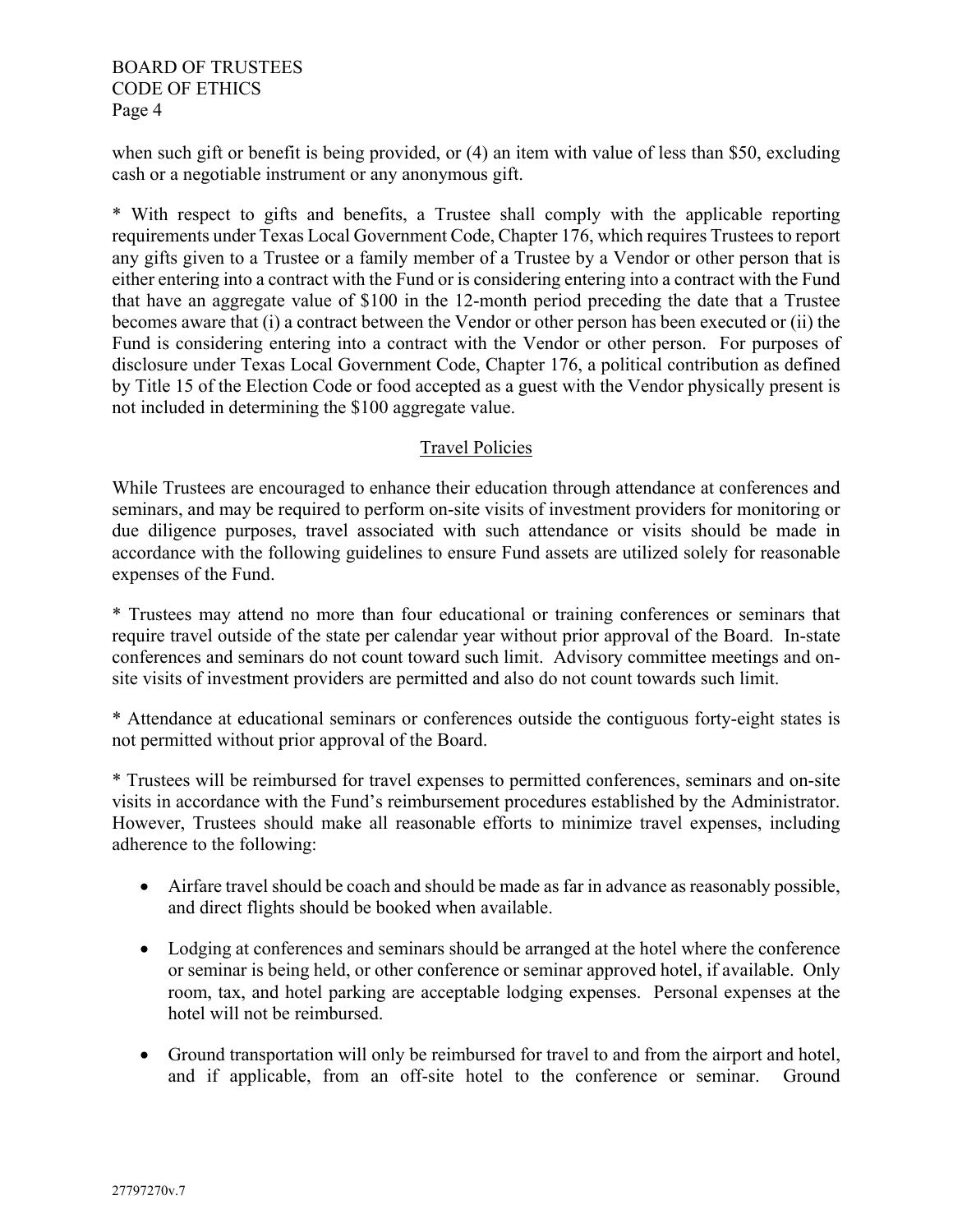BOARD OF TRUSTEES CODE OF ETHICS Page 4

when such gift or benefit is being provided, or (4) an item with value of less than \$50, excluding cash or a negotiable instrument or any anonymous gift.

\* With respect to gifts and benefits, a Trustee shall comply with the applicable reporting requirements under Texas Local Government Code, Chapter 176, which requires Trustees to report any gifts given to a Trustee or a family member of a Trustee by a Vendor or other person that is either entering into a contract with the Fund or is considering entering into a contract with the Fund that have an aggregate value of \$100 in the 12-month period preceding the date that a Trustee becomes aware that (i) a contract between the Vendor or other person has been executed or (ii) the Fund is considering entering into a contract with the Vendor or other person. For purposes of disclosure under Texas Local Government Code, Chapter 176, a political contribution as defined by Title 15 of the Election Code or food accepted as a guest with the Vendor physically present is not included in determining the \$100 aggregate value.

## Travel Policies

While Trustees are encouraged to enhance their education through attendance at conferences and seminars, and may be required to perform on-site visits of investment providers for monitoring or due diligence purposes, travel associated with such attendance or visits should be made in accordance with the following guidelines to ensure Fund assets are utilized solely for reasonable expenses of the Fund.

\* Trustees may attend no more than four educational or training conferences or seminars that require travel outside of the state per calendar year without prior approval of the Board. In-state conferences and seminars do not count toward such limit. Advisory committee meetings and onsite visits of investment providers are permitted and also do not count towards such limit.

\* Attendance at educational seminars or conferences outside the contiguous forty-eight states is not permitted without prior approval of the Board.

\* Trustees will be reimbursed for travel expenses to permitted conferences, seminars and on-site visits in accordance with the Fund's reimbursement procedures established by the Administrator. However, Trustees should make all reasonable efforts to minimize travel expenses, including adherence to the following:

- Airfare travel should be coach and should be made as far in advance as reasonably possible, and direct flights should be booked when available.
- Lodging at conferences and seminars should be arranged at the hotel where the conference or seminar is being held, or other conference or seminar approved hotel, if available. Only room, tax, and hotel parking are acceptable lodging expenses. Personal expenses at the hotel will not be reimbursed.
- Ground transportation will only be reimbursed for travel to and from the airport and hotel, and if applicable, from an off-site hotel to the conference or seminar. Ground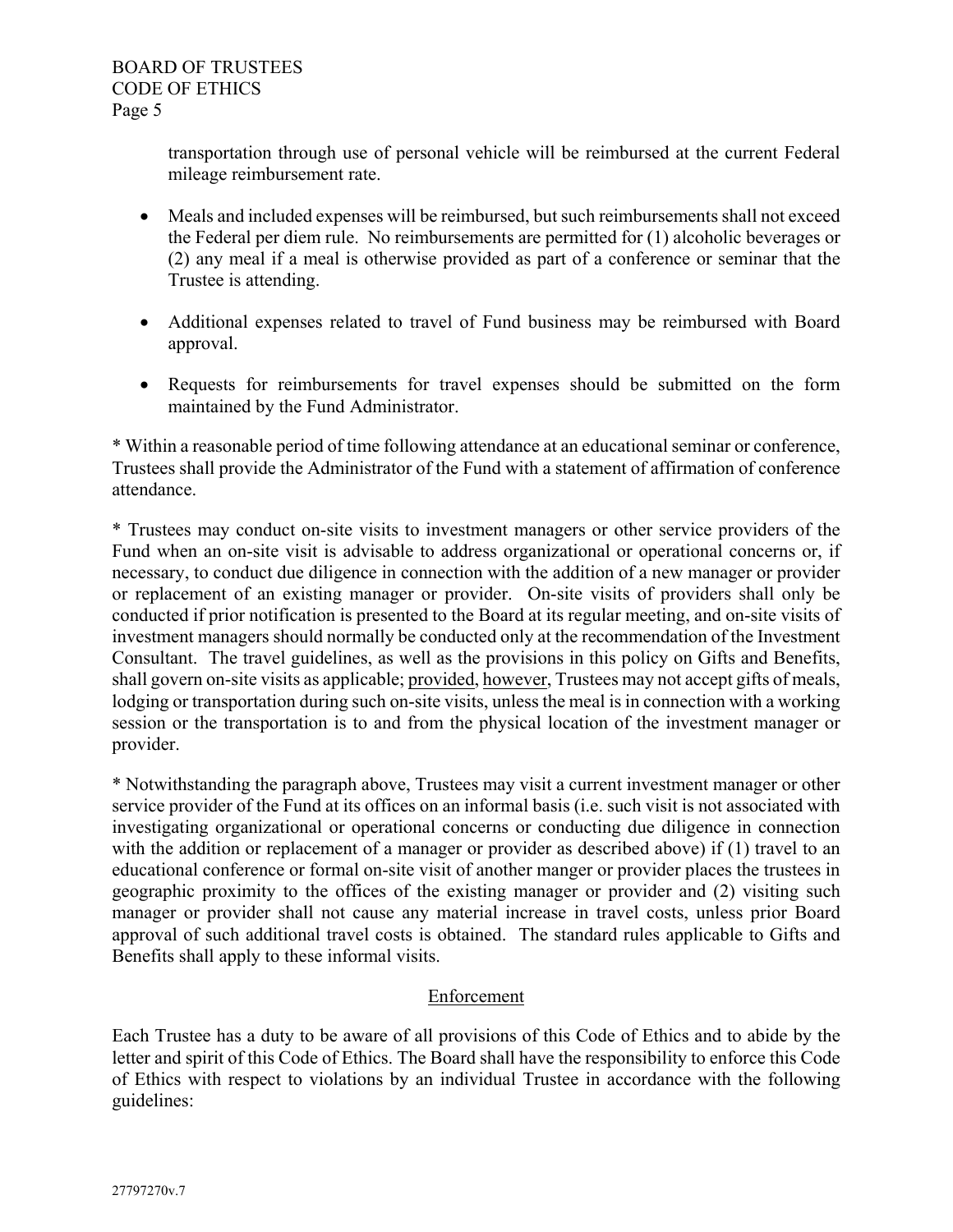transportation through use of personal vehicle will be reimbursed at the current Federal mileage reimbursement rate.

- Meals and included expenses will be reimbursed, but such reimbursements shall not exceed the Federal per diem rule. No reimbursements are permitted for (1) alcoholic beverages or (2) any meal if a meal is otherwise provided as part of a conference or seminar that the Trustee is attending.
- Additional expenses related to travel of Fund business may be reimbursed with Board approval.
- Requests for reimbursements for travel expenses should be submitted on the form maintained by the Fund Administrator.

\* Within a reasonable period of time following attendance at an educational seminar or conference, Trustees shall provide the Administrator of the Fund with a statement of affirmation of conference attendance.

\* Trustees may conduct on-site visits to investment managers or other service providers of the Fund when an on-site visit is advisable to address organizational or operational concerns or, if necessary, to conduct due diligence in connection with the addition of a new manager or provider or replacement of an existing manager or provider. On-site visits of providers shall only be conducted if prior notification is presented to the Board at its regular meeting, and on-site visits of investment managers should normally be conducted only at the recommendation of the Investment Consultant. The travel guidelines, as well as the provisions in this policy on Gifts and Benefits, shall govern on-site visits as applicable; provided, however, Trustees may not accept gifts of meals, lodging or transportation during such on-site visits, unless the meal is in connection with a working session or the transportation is to and from the physical location of the investment manager or provider.

\* Notwithstanding the paragraph above, Trustees may visit a current investment manager or other service provider of the Fund at its offices on an informal basis (i.e. such visit is not associated with investigating organizational or operational concerns or conducting due diligence in connection with the addition or replacement of a manager or provider as described above) if (1) travel to an educational conference or formal on-site visit of another manger or provider places the trustees in geographic proximity to the offices of the existing manager or provider and (2) visiting such manager or provider shall not cause any material increase in travel costs, unless prior Board approval of such additional travel costs is obtained. The standard rules applicable to Gifts and Benefits shall apply to these informal visits.

# Enforcement

Each Trustee has a duty to be aware of all provisions of this Code of Ethics and to abide by the letter and spirit of this Code of Ethics. The Board shall have the responsibility to enforce this Code of Ethics with respect to violations by an individual Trustee in accordance with the following guidelines: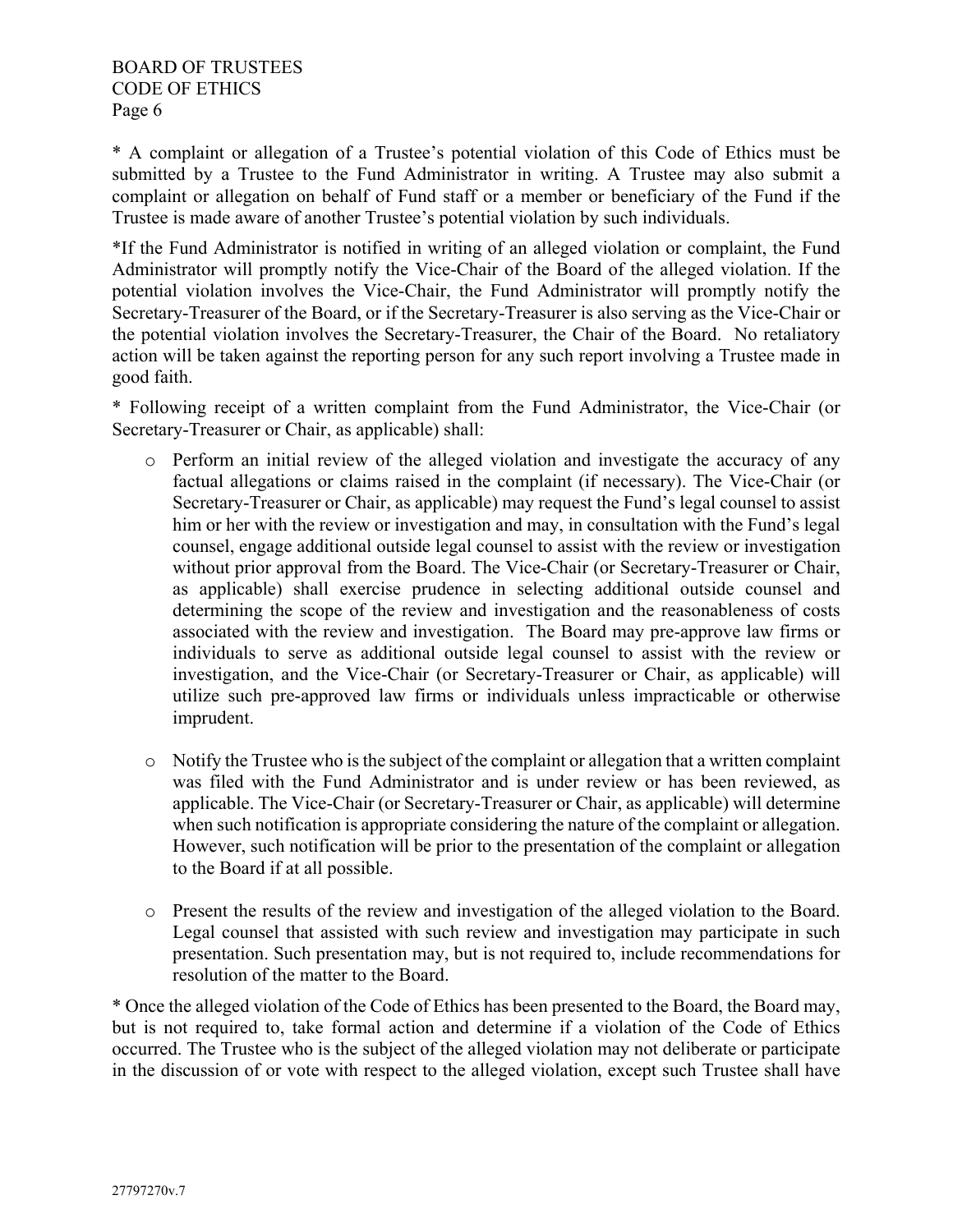\* A complaint or allegation of a Trustee's potential violation of this Code of Ethics must be submitted by a Trustee to the Fund Administrator in writing. A Trustee may also submit a complaint or allegation on behalf of Fund staff or a member or beneficiary of the Fund if the Trustee is made aware of another Trustee's potential violation by such individuals.

\*If the Fund Administrator is notified in writing of an alleged violation or complaint, the Fund Administrator will promptly notify the Vice-Chair of the Board of the alleged violation. If the potential violation involves the Vice-Chair, the Fund Administrator will promptly notify the Secretary-Treasurer of the Board, or if the Secretary-Treasurer is also serving as the Vice-Chair or the potential violation involves the Secretary-Treasurer, the Chair of the Board. No retaliatory action will be taken against the reporting person for any such report involving a Trustee made in good faith.

\* Following receipt of a written complaint from the Fund Administrator, the Vice-Chair (or Secretary-Treasurer or Chair, as applicable) shall:

- o Perform an initial review of the alleged violation and investigate the accuracy of any factual allegations or claims raised in the complaint (if necessary). The Vice-Chair (or Secretary-Treasurer or Chair, as applicable) may request the Fund's legal counsel to assist him or her with the review or investigation and may, in consultation with the Fund's legal counsel, engage additional outside legal counsel to assist with the review or investigation without prior approval from the Board. The Vice-Chair (or Secretary-Treasurer or Chair, as applicable) shall exercise prudence in selecting additional outside counsel and determining the scope of the review and investigation and the reasonableness of costs associated with the review and investigation. The Board may pre-approve law firms or individuals to serve as additional outside legal counsel to assist with the review or investigation, and the Vice-Chair (or Secretary-Treasurer or Chair, as applicable) will utilize such pre-approved law firms or individuals unless impracticable or otherwise imprudent.
- o Notify the Trustee who is the subject of the complaint or allegation that a written complaint was filed with the Fund Administrator and is under review or has been reviewed, as applicable. The Vice-Chair (or Secretary-Treasurer or Chair, as applicable) will determine when such notification is appropriate considering the nature of the complaint or allegation. However, such notification will be prior to the presentation of the complaint or allegation to the Board if at all possible.
- o Present the results of the review and investigation of the alleged violation to the Board. Legal counsel that assisted with such review and investigation may participate in such presentation. Such presentation may, but is not required to, include recommendations for resolution of the matter to the Board.

\* Once the alleged violation of the Code of Ethics has been presented to the Board, the Board may, but is not required to, take formal action and determine if a violation of the Code of Ethics occurred. The Trustee who is the subject of the alleged violation may not deliberate or participate in the discussion of or vote with respect to the alleged violation, except such Trustee shall have